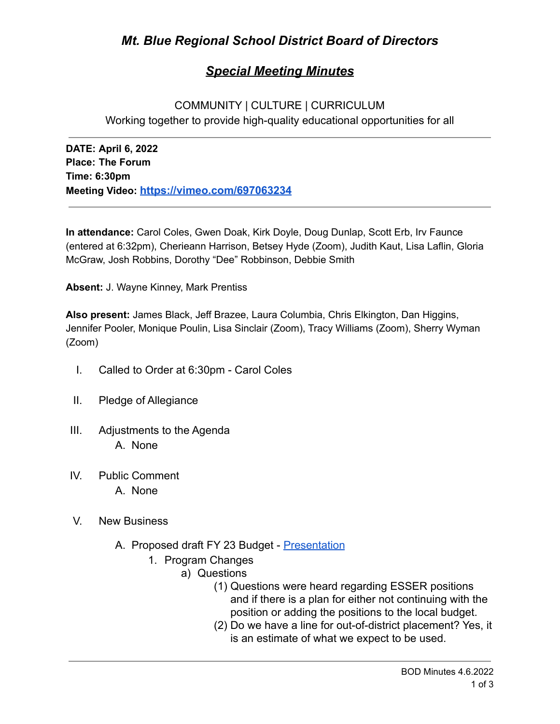# *Special Meeting Minutes*

# COMMUNITY | CULTURE | CURRICULUM Working together to provide high-quality educational opportunities for all

**DATE: April 6, 2022 Place: The Forum Time: 6:30pm Meeting Video: <https://vimeo.com/697063234>**

**In attendance:** Carol Coles, Gwen Doak, Kirk Doyle, Doug Dunlap, Scott Erb, Irv Faunce (entered at 6:32pm), Cherieann Harrison, Betsey Hyde (Zoom), Judith Kaut, Lisa Laflin, Gloria McGraw, Josh Robbins, Dorothy "Dee" Robbinson, Debbie Smith

**Absent:** J. Wayne Kinney, Mark Prentiss

**Also present:** James Black, Jeff Brazee, Laura Columbia, Chris Elkington, Dan Higgins, Jennifer Pooler, Monique Poulin, Lisa Sinclair (Zoom), Tracy Williams (Zoom), Sherry Wyman (Zoom)

- I. Called to Order at 6:30pm Carol Coles
- II. Pledge of Allegiance
- III. Adjustments to the Agenda A. None
- IV. Public Comment A. None
- V. New Business
	- A. Proposed draft FY 23 Budget [Presentation](https://drive.google.com/file/d/1NPnaIVKHwZX9tRke2s57HGxlbPkKUFF4/view?usp=sharing)
		- 1. Program Changes
			- a) Questions
				- (1) Questions were heard regarding ESSER positions and if there is a plan for either not continuing with the position or adding the positions to the local budget.
				- (2) Do we have a line for out-of-district placement? Yes, it is an estimate of what we expect to be used.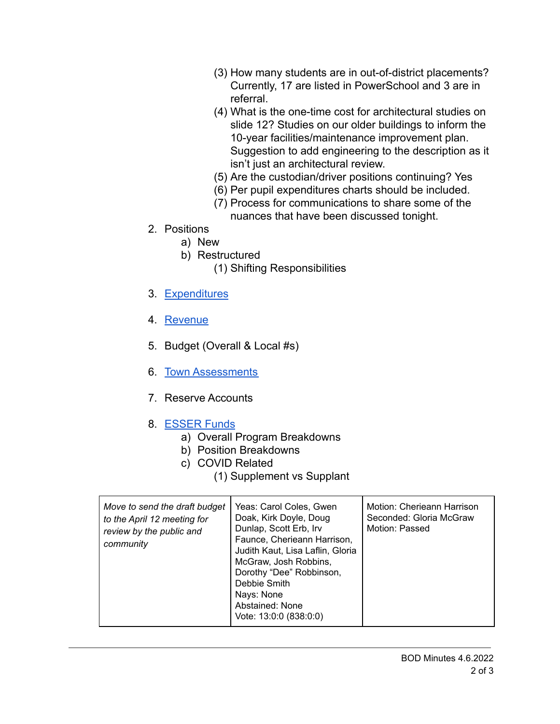- (3) How many students are in out-of-district placements? Currently, 17 are listed in PowerSchool and 3 are in referral.
- (4) What is the one-time cost for architectural studies on slide 12? Studies on our older buildings to inform the 10-year facilities/maintenance improvement plan. Suggestion to add engineering to the description as it isn't just an architectural review.
- (5) Are the custodian/driver positions continuing? Yes
- (6) Per pupil expenditures charts should be included.
- (7) Process for communications to share some of the nuances that have been discussed tonight.
- 2. Positions
	- a) New
	- b) Restructured
		- (1) Shifting Responsibilities
- 3. [Expenditures](https://drive.google.com/file/d/1oj7M772owVhvIHaxchPAPivte4T0sUNq/view?usp=sharing)
- 4. [Revenue](https://drive.google.com/file/d/12Z9_NTukFsl7JjR3F_5OQWfC1XtTFNfv/view?usp=sharing)
- 5. Budget (Overall & Local #s)
- 6. [Town Assessments](https://drive.google.com/file/d/1iE9VH901wW4h_NXnevsX7Ryya8S2a5b0/view?usp=sharing)
- 7. Reserve Accounts
- 8. [ESSER Funds](https://drive.google.com/file/d/1bvMPlSBpczenAdBwcCbXOW7nFKAJ_aA0/view?usp=sharing)
	- a) Overall Program Breakdowns
	- b) Position Breakdowns
	- c) COVID Related
		- (1) Supplement vs Supplant

| Move to send the draft budget<br>to the April 12 meeting for<br>review by the public and<br>community | Yeas: Carol Coles, Gwen<br>Doak, Kirk Doyle, Doug<br>Dunlap, Scott Erb, Irv<br>Faunce, Cherieann Harrison,<br>Judith Kaut, Lisa Laflin, Gloria<br>McGraw, Josh Robbins,<br>Dorothy "Dee" Robbinson,<br>Debbie Smith<br>Nays: None<br>Abstained: None<br>Vote: 13:0:0 (838:0:0) | Motion: Cherieann Harrison<br>Seconded: Gloria McGraw<br>Motion: Passed |
|-------------------------------------------------------------------------------------------------------|--------------------------------------------------------------------------------------------------------------------------------------------------------------------------------------------------------------------------------------------------------------------------------|-------------------------------------------------------------------------|
|-------------------------------------------------------------------------------------------------------|--------------------------------------------------------------------------------------------------------------------------------------------------------------------------------------------------------------------------------------------------------------------------------|-------------------------------------------------------------------------|